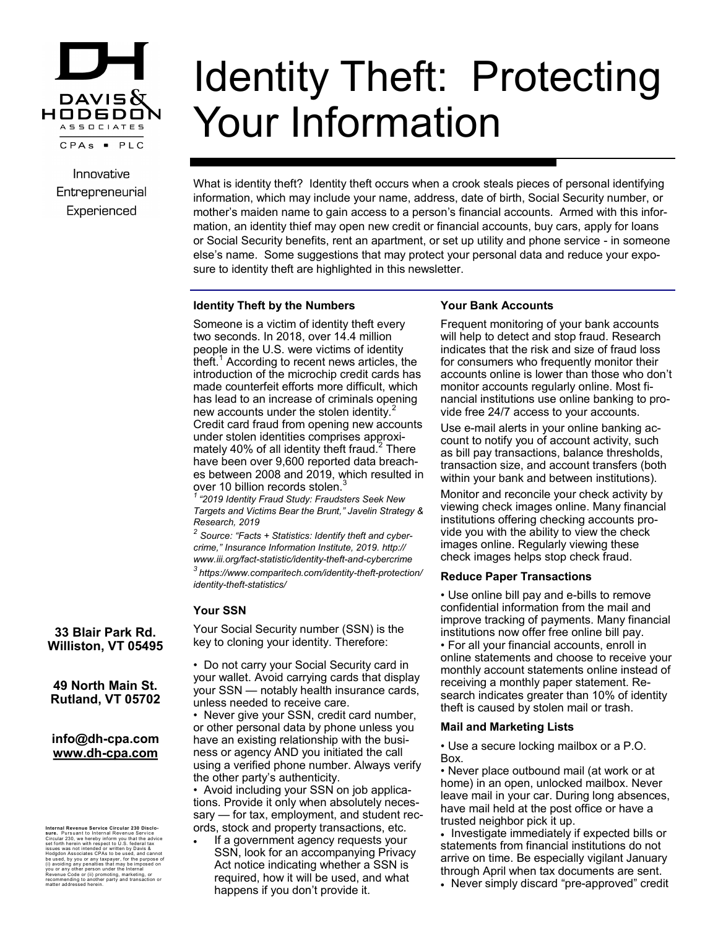

Innovative Entrepreneurial Experienced

# Identity Theft: Protecting Your Information

What is identity theft? Identity theft occurs when a crook steals pieces of personal identifying information, which may include your name, address, date of birth, Social Security number, or mother's maiden name to gain access to a person's financial accounts. Armed with this information, an identity thief may open new credit or financial accounts, buy cars, apply for loans or Social Security benefits, rent an apartment, or set up utility and phone service - in someone else's name. Some suggestions that may protect your personal data and reduce your exposure to identity theft are highlighted in this newsletter.

## **Identity Theft by the Numbers**

Someone is a victim of identity theft every two seconds. In 2018, over 14.4 million people in the U.S. were victims of identity theft.<sup>1</sup> According to recent news articles, the introduction of the microchip credit cards has made counterfeit efforts more difficult, which has lead to an increase of criminals opening new accounts under the stolen identity.<sup>2</sup> Credit card fraud from opening new accounts under stolen identities comprises approximately 40% of all identity theft fraud. $2$  There have been over 9,600 reported data breaches between 2008 and 2019, which resulted in over 10 billion records stolen.<sup>3</sup>

*<sup>1</sup>"2019 Identity Fraud Study: Fraudsters Seek New Targets and Victims Bear the Brunt," Javelin Strategy & Research, 2019*

*2 Source: "Facts + Statistics: Identify theft and cybercrime," Insurance Information Institute, 2019. http:// www.iii.org/fact-statistic/identity-theft-and-cybercrime <sup>3</sup>https://www.comparitech.com/identity-theft-protection/ identity-theft-statistics/* 

# **Your SSN**

Your Social Security number (SSN) is the key to cloning your identity. Therefore:

• Do not carry your Social Security card in your wallet. Avoid carrying cards that display your SSN — notably health insurance cards, unless needed to receive care.

• Never give your SSN, credit card number, or other personal data by phone unless you have an existing relationship with the business or agency AND you initiated the call using a verified phone number. Always verify the other party's authenticity.

• Avoid including your SSN on job applications. Provide it only when absolutely necessary — for tax, employment, and student records, stock and property transactions, etc.

 If a government agency requests your SSN, look for an accompanying Privacy Act notice indicating whether a SSN is required, how it will be used, and what happens if you don't provide it.

# **Your Bank Accounts**

Frequent monitoring of your bank accounts will help to detect and stop fraud. Research indicates that the risk and size of fraud loss for consumers who frequently monitor their accounts online is lower than those who don't monitor accounts regularly online. Most financial institutions use online banking to provide free 24/7 access to your accounts.

Use e-mail alerts in your online banking account to notify you of account activity, such as bill pay transactions, balance thresholds, transaction size, and account transfers (both within your bank and between institutions).

Monitor and reconcile your check activity by viewing check images online. Many financial institutions offering checking accounts provide you with the ability to view the check images online. Regularly viewing these check images helps stop check fraud.

## **Reduce Paper Transactions**

• Use online bill pay and e-bills to remove confidential information from the mail and improve tracking of payments. Many financial institutions now offer free online bill pay.

• For all your financial accounts, enroll in online statements and choose to receive your monthly account statements online instead of receiving a monthly paper statement. Research indicates greater than 10% of identity theft is caused by stolen mail or trash.

## **Mail and Marketing Lists**

• Use a secure locking mailbox or a P.O. Box.

• Never place outbound mail (at work or at home) in an open, unlocked mailbox. Never leave mail in your car. During long absences, have mail held at the post office or have a trusted neighbor pick it up.

• Investigate immediately if expected bills or statements from financial institutions do not arrive on time. Be especially vigilant January through April when tax documents are sent.

• Never simply discard "pre-approved" credit

**33 Blair Park Rd. Williston, VT 05495**

**49 North Main St. Rutland, VT 05702**

# **info@dh-cpa.com www.dh-cpa.com**

Internal Revenue Service Circular 230 Disclo-<br>sure. Pursuant to Internal Revenue Service<br>Set forth herein with respect to U.S. federal tax<br>set forth herein with respect to U.S. federal tax<br>issues was not intended or witten recommending to another party and transaction or matter addressed herein.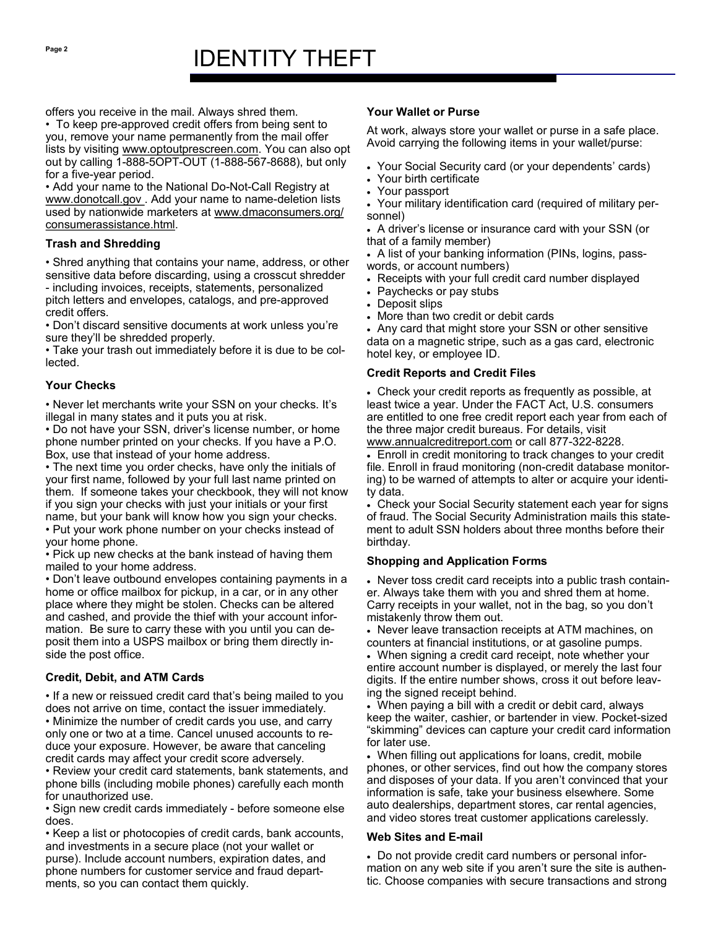offers you receive in the mail. Always shred them.

• To keep pre-approved credit offers from being sent to you, remove your name permanently from the mail offer lists by visiting www.optoutprescreen.com. You can also opt out by calling 1-888-5OPT-OUT (1-888-567-8688), but only for a five-year period.

• Add your name to the National Do-Not-Call Registry at www.donotcall.gov . Add your name to name-deletion lists used by nationwide marketers at www.dmaconsumers.org/ consumerassistance.html.

# **Trash and Shredding**

• Shred anything that contains your name, address, or other sensitive data before discarding, using a crosscut shredder - including invoices, receipts, statements, personalized pitch letters and envelopes, catalogs, and pre-approved credit offers.

• Don't discard sensitive documents at work unless you're sure they'll be shredded properly.

• Take your trash out immediately before it is due to be collected.

## **Your Checks**

• Never let merchants write your SSN on your checks. It's illegal in many states and it puts you at risk.

• Do not have your SSN, driver's license number, or home phone number printed on your checks. If you have a P.O. Box, use that instead of your home address.

• The next time you order checks, have only the initials of your first name, followed by your full last name printed on them. If someone takes your checkbook, they will not know if you sign your checks with just your initials or your first name, but your bank will know how you sign your checks.

• Put your work phone number on your checks instead of your home phone.

• Pick up new checks at the bank instead of having them mailed to your home address.

• Don't leave outbound envelopes containing payments in a home or office mailbox for pickup, in a car, or in any other place where they might be stolen. Checks can be altered and cashed, and provide the thief with your account information. Be sure to carry these with you until you can deposit them into a USPS mailbox or bring them directly inside the post office.

# **Credit, Debit, and ATM Cards**

• If a new or reissued credit card that's being mailed to you does not arrive on time, contact the issuer immediately. • Minimize the number of credit cards you use, and carry only one or two at a time. Cancel unused accounts to reduce your exposure. However, be aware that canceling credit cards may affect your credit score adversely.

• Review your credit card statements, bank statements, and phone bills (including mobile phones) carefully each month for unauthorized use.

• Sign new credit cards immediately - before someone else does.

• Keep a list or photocopies of credit cards, bank accounts, and investments in a secure place (not your wallet or purse). Include account numbers, expiration dates, and phone numbers for customer service and fraud departments, so you can contact them quickly.

# **Your Wallet or Purse**

At work, always store your wallet or purse in a safe place. Avoid carrying the following items in your wallet/purse:

- Your Social Security card (or your dependents' cards)
- Your birth certificate
- Your passport
- Your military identification card (required of military personnel)

 A driver's license or insurance card with your SSN (or that of a family member)

 A list of your banking information (PINs, logins, passwords, or account numbers)

- Receipts with your full credit card number displayed
- Paychecks or pay stubs
- Deposit slips
- More than two credit or debit cards

 Any card that might store your SSN or other sensitive data on a magnetic stripe, such as a gas card, electronic hotel key, or employee ID.

## **Credit Reports and Credit Files**

 Check your credit reports as frequently as possible, at least twice a year. Under the FACT Act, U.S. consumers are entitled to one free credit report each year from each of the three major credit bureaus. For details, visit www.annualcreditreport.com or call 877-322-8228.

 Enroll in credit monitoring to track changes to your credit file. Enroll in fraud monitoring (non-credit database monitoring) to be warned of attempts to alter or acquire your identity data.

 Check your Social Security statement each year for signs of fraud. The Social Security Administration mails this statement to adult SSN holders about three months before their birthday.

## **Shopping and Application Forms**

 Never toss credit card receipts into a public trash container. Always take them with you and shred them at home. Carry receipts in your wallet, not in the bag, so you don't mistakenly throw them out.

 Never leave transaction receipts at ATM machines, on counters at financial institutions, or at gasoline pumps.

 When signing a credit card receipt, note whether your entire account number is displayed, or merely the last four digits. If the entire number shows, cross it out before leaving the signed receipt behind.

 When paying a bill with a credit or debit card, always keep the waiter, cashier, or bartender in view. Pocket-sized "skimming" devices can capture your credit card information for later use.

 When filling out applications for loans, credit, mobile phones, or other services, find out how the company stores and disposes of your data. If you aren't convinced that your information is safe, take your business elsewhere. Some auto dealerships, department stores, car rental agencies, and video stores treat customer applications carelessly.

## **Web Sites and E-mail**

 Do not provide credit card numbers or personal information on any web site if you aren't sure the site is authentic. Choose companies with secure transactions and strong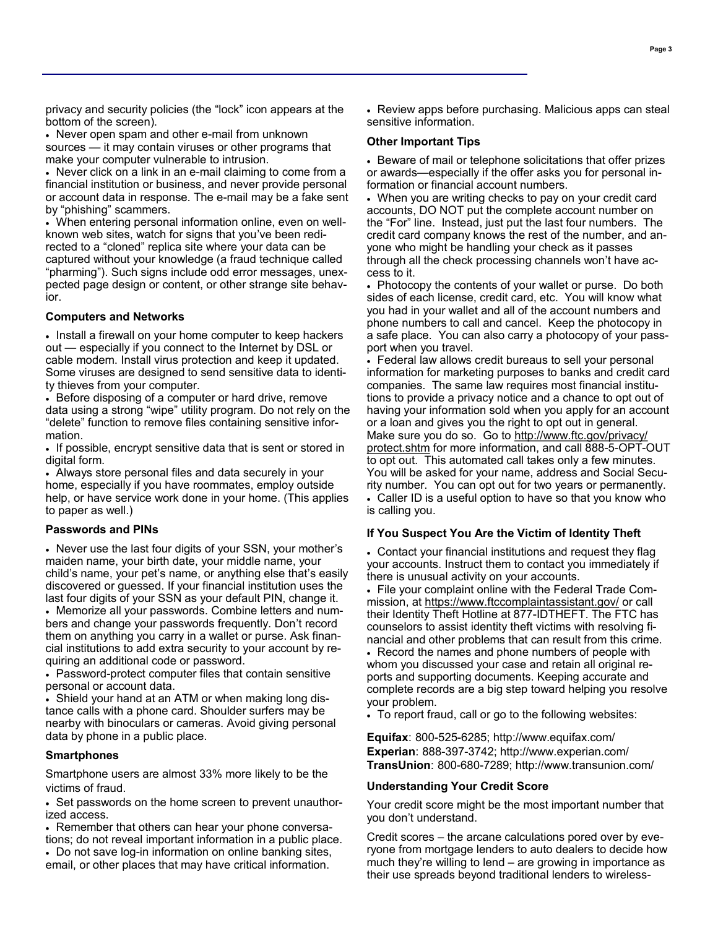privacy and security policies (the "lock" icon appears at the bottom of the screen).

 Never open spam and other e-mail from unknown sources — it may contain viruses or other programs that make your computer vulnerable to intrusion.

 Never click on a link in an e-mail claiming to come from a financial institution or business, and never provide personal or account data in response. The e-mail may be a fake sent by "phishing" scammers.

 When entering personal information online, even on wellknown web sites, watch for signs that you've been redirected to a "cloned" replica site where your data can be captured without your knowledge (a fraud technique called "pharming"). Such signs include odd error messages, unexpected page design or content, or other strange site behavior.

#### **Computers and Networks**

• Install a firewall on your home computer to keep hackers out — especially if you connect to the Internet by DSL or cable modem. Install virus protection and keep it updated. Some viruses are designed to send sensitive data to identity thieves from your computer.

• Before disposing of a computer or hard drive, remove data using a strong "wipe" utility program. Do not rely on the "delete" function to remove files containing sensitive information.

If possible, encrypt sensitive data that is sent or stored in digital form.

 Always store personal files and data securely in your home, especially if you have roommates, employ outside help, or have service work done in your home. (This applies to paper as well.)

#### **Passwords and PINs**

 Never use the last four digits of your SSN, your mother's maiden name, your birth date, your middle name, your child's name, your pet's name, or anything else that's easily discovered or guessed. If your financial institution uses the last four digits of your SSN as your default PIN, change it.

 Memorize all your passwords. Combine letters and numbers and change your passwords frequently. Don't record them on anything you carry in a wallet or purse. Ask financial institutions to add extra security to your account by requiring an additional code or password.

 Password-protect computer files that contain sensitive personal or account data.

 Shield your hand at an ATM or when making long distance calls with a phone card. Shoulder surfers may be nearby with binoculars or cameras. Avoid giving personal data by phone in a public place.

#### **Smartphones**

Smartphone users are almost 33% more likely to be the victims of fraud.

 Set passwords on the home screen to prevent unauthorized access.

• Remember that others can hear your phone conversations; do not reveal important information in a public place. Do not save log-in information on online banking sites, email, or other places that may have critical information.

 Review apps before purchasing. Malicious apps can steal sensitive information.

#### **Other Important Tips**

is calling you.

• Beware of mail or telephone solicitations that offer prizes or awards—especially if the offer asks you for personal information or financial account numbers.

 When you are writing checks to pay on your credit card accounts, DO NOT put the complete account number on the "For" line. Instead, just put the last four numbers. The credit card company knows the rest of the number, and anyone who might be handling your check as it passes through all the check processing channels won't have access to it.

 Photocopy the contents of your wallet or purse. Do both sides of each license, credit card, etc. You will know what you had in your wallet and all of the account numbers and phone numbers to call and cancel. Keep the photocopy in a safe place. You can also carry a photocopy of your passport when you travel.

 Federal law allows credit bureaus to sell your personal information for marketing purposes to banks and credit card companies. The same law requires most financial institutions to provide a privacy notice and a chance to opt out of having your information sold when you apply for an account or a loan and gives you the right to opt out in general. Make sure you do so. Go to http://www.ftc.gov/privacy/ protect.shtm for more information, and call 888-5-OPT-OUT to opt out. This automated call takes only a few minutes. You will be asked for your name, address and Social Security number. You can opt out for two years or permanently. Caller ID is a useful option to have so that you know who

## **If You Suspect You Are the Victim of Identity Theft**

 Contact your financial institutions and request they flag your accounts. Instruct them to contact you immediately if there is unusual activity on your accounts.

 File your complaint online with the Federal Trade Commission, at https://www.ftccomplaintassistant.gov/ or call their Identity Theft Hotline at 877-IDTHEFT. The FTC has counselors to assist identity theft victims with resolving financial and other problems that can result from this crime.

• Record the names and phone numbers of people with whom you discussed your case and retain all original reports and supporting documents. Keeping accurate and complete records are a big step toward helping you resolve your problem.

To report fraud, call or go to the following websites:

**Equifax**: 800-525-6285; http://www.equifax.com/ **Experian**: 888-397-3742; http://www.experian.com/ **TransUnion**: 800-680-7289; http://www.transunion.com/

#### **Understanding Your Credit Score**

Your credit score might be the most important number that you don't understand.

Credit scores – the arcane calculations pored over by everyone from mortgage lenders to auto dealers to decide how much they're willing to lend – are growing in importance as their use spreads beyond traditional lenders to wireless